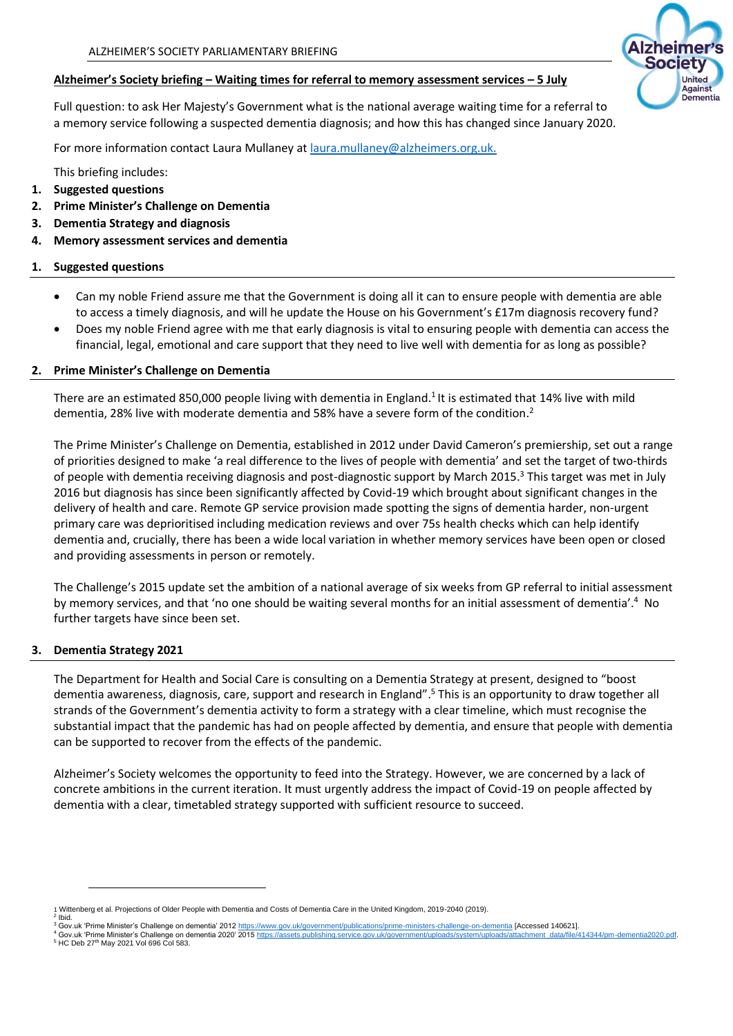# **Alzheimer's Society briefing – Waiting times for referral to memory assessment services – 5 July**

Full question: to ask Her Majesty's Government what is the national average waiting time for a referral to a memory service following a suspected dementia diagnosis; and how this has changed since January 2020.

For more information contact Laura Mullaney at [laura.mullaney@alzheimers.org.uk.](mailto:laura.mullaney@alzheimers.org.uk)

This briefing includes:

- **1. Suggested questions**
- **2. Prime Minister's Challenge on Dementia**
- **3. Dementia Strategy and diagnosis**
- **4. Memory assessment services and dementia**

## **1. Suggested questions**

- Can my noble Friend assure me that the Government is doing all it can to ensure people with dementia are able to access a timely diagnosis, and will he update the House on his Government's £17m diagnosis recovery fund?
- Does my noble Friend agree with me that early diagnosis is vital to ensuring people with dementia can access the financial, legal, emotional and care support that they need to live well with dementia for as long as possible?

## **2. Prime Minister's Challenge on Dementia**

There are an estimated 850,000 people living with dementia in England.<sup>1</sup> It is estimated that 14% live with mild dementia, 28% live with moderate dementia and 58% have a severe form of the condition.<sup>2</sup>

The Prime Minister's Challenge on Dementia, established in 2012 under David Cameron's premiership, set out a range of priorities designed to make 'a real difference to the lives of people with dementia' and set the target of two-thirds of people with dementia receiving diagnosis and post-diagnostic support by March 2015.<sup>3</sup> This target was met in July 2016 but diagnosis has since been significantly affected by Covid-19 which brought about significant changes in the delivery of health and care. Remote GP service provision made spotting the signs of dementia harder, non-urgent primary care was deprioritised including medication reviews and over 75s health checks which can help identify dementia and, crucially, there has been a wide local variation in whether memory services have been open or closed and providing assessments in person or remotely.

The Challenge's 2015 update set the ambition of a national average of six weeks from GP referral to initial assessment by memory services, and that 'no one should be waiting several months for an initial assessment of dementia'.<sup>4</sup> No further targets have since been set.

# **3. Dementia Strategy 2021**

The Department for Health and Social Care is consulting on a Dementia Strategy at present, designed to "boost dementia awareness, diagnosis, care, support and research in England". <sup>5</sup> This is an opportunity to draw together all strands of the Government's dementia activity to form a strategy with a clear timeline, which must recognise the substantial impact that the pandemic has had on people affected by dementia, and ensure that people with dementia can be supported to recover from the effects of the pandemic.

Alzheimer's Society welcomes the opportunity to feed into the Strategy. However, we are concerned by a lack of concrete ambitions in the current iteration. It must urgently address the impact of Covid-19 on people affected by dementia with a clear, timetabled strategy supported with sufficient resource to succeed.

<sup>&</sup>lt;sup>4</sup> Gov.uk 'Prime Minister's Challenge on dementia 2020' 2015 <u>https://assets.publishing.service.gov.uk/government/uploads/system/uploads/attachment\_data/file/414344/pm-dementia2020.pdf.<br><sup>5</sup> HC Deb 27<sup>th</sup> May 2021 Vol 696</u>





<sup>1</sup> Wittenberg et al. Projections of Older People with Dementia and Costs of Dementia Care in the United Kingdom, 2019-2040 (2019). 2

Gov.uk 'Prime Minister's Challenge on dementia' 2012 http